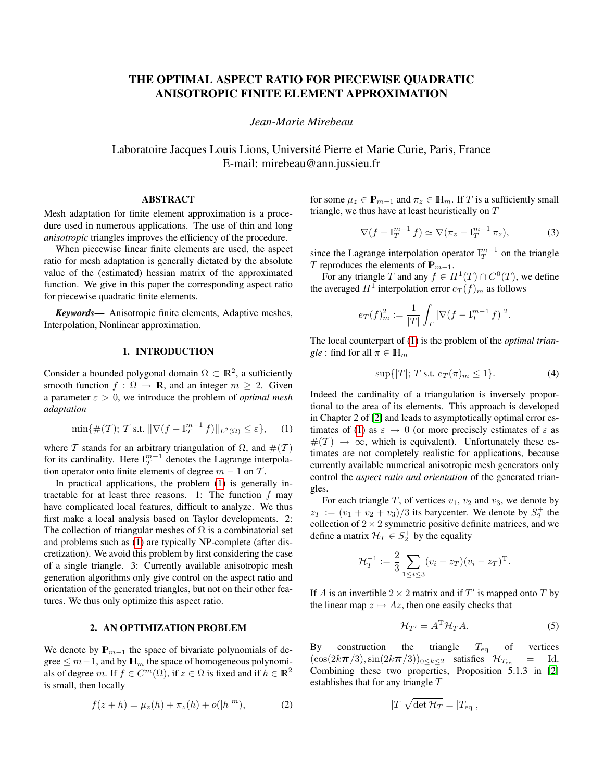# THE OPTIMAL ASPECT RATIO FOR PIECEWISE QUADRATIC ANISOTROPIC FINITE ELEMENT APPROXIMATION

*Jean-Marie Mirebeau*

Laboratoire Jacques Louis Lions, Universite Pierre et Marie Curie, Paris, France ´ E-mail: mirebeau@ann.jussieu.fr

### ABSTRACT

Mesh adaptation for finite element approximation is a procedure used in numerous applications. The use of thin and long *anisotropic* triangles improves the efficiency of the procedure.

When piecewise linear finite elements are used, the aspect ratio for mesh adaptation is generally dictated by the absolute value of the (estimated) hessian matrix of the approximated function. We give in this paper the corresponding aspect ratio for piecewise quadratic finite elements.

*Keywords*— Anisotropic finite elements, Adaptive meshes, Interpolation, Nonlinear approximation.

### 1. INTRODUCTION

Consider a bounded polygonal domain  $\Omega \subset \mathbb{R}^2$ , a sufficiently smooth function  $f : \Omega \to \mathbb{R}$ , and an integer  $m \geq 2$ . Given a parameter  $\varepsilon > 0$ , we introduce the problem of *optimal mesh adaptation*

<span id="page-0-0"></span>
$$
\min\{\#(\mathcal{T}); \mathcal{T} \text{ s.t. } \|\nabla (f - \mathbf{I}_{\mathcal{T}}^{m-1} f)\|_{L^2(\Omega)} \le \varepsilon\},\qquad(1)
$$

where T stands for an arbitrary triangulation of  $\Omega$ , and  $\#(\mathcal{T})$ for its cardinality. Here  $I_T^{m-1}$  denotes the Lagrange interpolation operator onto finite elements of degree  $m - 1$  on  $T$ .

In practical applications, the problem [\(1\)](#page-0-0) is generally intractable for at least three reasons. 1: The function  $f$  may have complicated local features, difficult to analyze. We thus first make a local analysis based on Taylor developments. 2: The collection of triangular meshes of  $\Omega$  is a combinatorial set and problems such as [\(1\)](#page-0-0) are typically NP-complete (after discretization). We avoid this problem by first considering the case of a single triangle. 3: Currently available anisotropic mesh generation algorithms only give control on the aspect ratio and orientation of the generated triangles, but not on their other features. We thus only optimize this aspect ratio.

#### 2. AN OPTIMIZATION PROBLEM

We denote by  $\mathbb{P}_{m-1}$  the space of bivariate polynomials of degree  $\leq m-1$ , and by  $\mathbb{H}_m$  the space of homogeneous polynomials of degree m. If  $f \in C^m(\Omega)$ , if  $z \in \Omega$  is fixed and if  $h \in \mathbb{R}^2$ is small, then locally

$$
f(z+h) = \mu_z(h) + \pi_z(h) + o(|h|^m),
$$
 (2)

for some  $\mu_z \in \mathbb{P}_{m-1}$  and  $\pi_z \in \mathbb{H}_m$ . If T is a sufficiently small triangle, we thus have at least heuristically on  $T$ 

$$
\nabla (f - \mathbf{I}_T^{m-1} f) \simeq \nabla (\pi_z - \mathbf{I}_T^{m-1} \pi_z), \tag{3}
$$

since the Lagrange interpolation operator  $I_T^{m-1}$  on the triangle T reproduces the elements of  $\mathbf{P}_{m-1}$ .

For any triangle T and any  $f \in H^1(T) \cap C^0(T)$ , we define the averaged  $H^1$  interpolation error  $e_T(f)_m$  as follows

$$
e_T(f)_m^2 := \frac{1}{|T|} \int_T |\nabla (f - \mathbf{I}_T^{m-1} f)|^2.
$$

The local counterpart of [\(1\)](#page-0-0) is the problem of the *optimal triangle* : find for all  $\pi \in \mathbb{H}_m$ 

$$
\sup\{|T|; T \text{ s.t. } e_T(\pi)_m \le 1\}. \tag{4}
$$

Indeed the cardinality of a triangulation is inversely proportional to the area of its elements. This approach is developed in Chapter 2 of [\[2\]](#page-3-0) and leads to asymptotically optimal error es-timates of [\(1\)](#page-0-0) as  $\varepsilon \to 0$  (or more precisely estimates of  $\varepsilon$  as  $#(T) \rightarrow \infty$ , which is equivalent). Unfortunately these estimates are not completely realistic for applications, because currently available numerical anisotropic mesh generators only control the *aspect ratio and orientation* of the generated triangles.

For each triangle T, of vertices  $v_1$ ,  $v_2$  and  $v_3$ , we denote by  $z_T := (v_1 + v_2 + v_3)/3$  its barycenter. We denote by  $S_2^+$  the collection of  $2 \times 2$  symmetric positive definite matrices, and we define a matrix  $\mathcal{H}_T \in S_2^+$  by the equality

$$
\mathcal{H}_T^{-1} := \frac{2}{3} \sum_{1 \le i \le 3} (v_i - z_T)(v_i - z_T)^{\mathrm{T}}.
$$

If A is an invertible  $2 \times 2$  matrix and if  $T'$  is mapped onto T by the linear map  $z \mapsto Az$ , then one easily checks that

<span id="page-0-1"></span>
$$
\mathcal{H}_{T'} = A^{\mathrm{T}} \mathcal{H}_T A. \tag{5}
$$

By construction the triangle  $T_{\text{eq}}$  of vertices  $(\cos(2k\pi/3),\sin(2k\pi/3))_{0\leq k\leq 2}$  satisfies  $\mathcal{H}_{T_{\text{eq}}}$  = Id. Combining these two properties, Proposition 5.1.3 in [\[2\]](#page-3-0) establishes that for any triangle  $T$ 

$$
|T|\sqrt{\det \mathcal{H}_T} = |T_{\text{eq}}|,
$$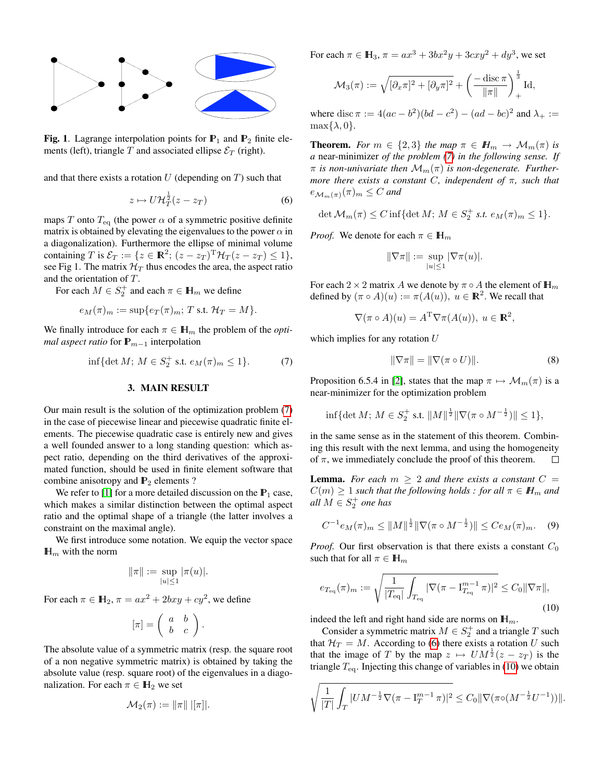

**Fig. 1.** Lagrange interpolation points for  $\mathbb{P}_1$  and  $\mathbb{P}_2$  finite elements (left), triangle T and associated ellipse  $\mathcal{E}_T$  (right).

and that there exists a rotation  $U$  (depending on  $T$ ) such that

<span id="page-1-1"></span>
$$
z \mapsto U \mathcal{H}_T^{\frac{1}{2}}(z - z_T) \tag{6}
$$

maps T onto  $T_{\text{eq}}$  (the power  $\alpha$  of a symmetric positive definite matrix is obtained by elevating the eigenvalues to the power  $\alpha$  in a diagonalization). Furthermore the ellipse of minimal volume containing T is  $\mathcal{E}_T := \{ z \in \mathbb{R}^2; (z - z_T)^{\mathrm{T}} \mathcal{H}_T(z - z_T) \leq 1 \},\$ see Fig 1. The matrix  $\mathcal{H}_T$  thus encodes the area, the aspect ratio and the orientation of T.

For each  $M \in S_2^+$  and each  $\pi \in \mathbb{H}_m$  we define

$$
e_M(\pi)_m := \sup\{e_T(\pi)_m; T \text{ s.t. } \mathcal{H}_T = M\}.
$$

We finally introduce for each  $\pi \in \mathbb{H}_m$  the problem of the *optimal aspect ratio* for  $\mathbb{P}_{m-1}$  interpolation

<span id="page-1-0"></span>
$$
\inf\{\det M; \, M \in S_2^+ \text{ s.t. } e_M(\pi)_m \le 1\}. \tag{7}
$$

#### 3. MAIN RESULT

Our main result is the solution of the optimization problem [\(7\)](#page-1-0) in the case of piecewise linear and piecewise quadratic finite elements. The piecewise quadratic case is entirely new and gives a well founded answer to a long standing question: which aspect ratio, depending on the third derivatives of the approximated function, should be used in finite element software that combine anisotropy and  $P_2$  elements ?

We refer to [\[1\]](#page-3-1) for a more detailed discussion on the  $P_1$  case, which makes a similar distinction between the optimal aspect ratio and the optimal shape of a triangle (the latter involves a constraint on the maximal angle).

We first introduce some notation. We equip the vector space  $\mathbb{H}_m$  with the norm

$$
\|\pi\| := \sup_{|u| \le 1} |\pi(u)|.
$$

For each  $\pi \in \mathbb{H}_2$ ,  $\pi = ax^2 + 2bxy + cy^2$ , we define

$$
[\pi] = \left(\begin{array}{cc} a & b \\ b & c \end{array}\right).
$$

The absolute value of a symmetric matrix (resp. the square root of a non negative symmetric matrix) is obtained by taking the absolute value (resp. square root) of the eigenvalues in a diagonalization. For each  $\pi \in \mathbb{H}_2$  we set

$$
\mathcal{M}_2(\pi) := \|\pi\| \; |[\pi]|.
$$

For each  $\pi \in \mathbb{H}_3$ ,  $\pi = ax^3 + 3bx^2y + 3cxy^2 + dy^3$ , we set

$$
\mathcal{M}_3(\pi) := \sqrt{[\partial_x \pi]^2 + [\partial_y \pi]^2} + \left(\frac{-\operatorname{disc}\pi}{\|\pi\|}\right)_+^{\frac{1}{3}} \operatorname{Id},
$$

where disc  $\pi := 4(ac - b^2)(bd - c^2) - (ad - bc)^2$  and  $\lambda_+ :=$  $\max\{\lambda, 0\}.$ 

**Theorem.** *For*  $m \in \{2,3\}$  *the map*  $\pi \in H_m \to \mathcal{M}_m(\pi)$  *is a* near-minimizer *of the problem [\(7\)](#page-1-0) in the following sense. If*  $\pi$  *is non-univariate then*  $\mathcal{M}_m(\pi)$  *is non-degenerate. Furthermore there exists a constant* C*, independent of* π*, such that*  $e_{\mathcal{M}_m(\pi)}(\pi)_m \leq C$  and

$$
\det \mathcal{M}_m(\pi) \le C \inf \{ \det M; M \in S_2^+ \text{ s.t. } e_M(\pi)_m \le 1 \}.
$$

*Proof.* We denote for each  $\pi \in \mathbb{H}_m$ 

$$
\|\nabla \pi\| := \sup_{|u| \le 1} |\nabla \pi(u)|.
$$

For each 2 × 2 matrix A we denote by  $\pi \circ A$  the element of  $\mathbb{H}_m$ defined by  $(\pi \circ A)(u) := \pi(A(u)), u \in \mathbb{R}^2$ . We recall that

$$
\nabla(\pi \circ A)(u) = A^{\mathrm{T}} \nabla \pi(A(u)), \ u \in \mathbb{R}^2,
$$

which implies for any rotation U

<span id="page-1-3"></span>
$$
\|\nabla \pi\| = \|\nabla (\pi \circ U)\|.\tag{8}
$$

Proposition 6.5.4 in [\[2\]](#page-3-0), states that the map  $\pi \mapsto \mathcal{M}_m(\pi)$  is a near-minimizer for the optimization problem

$$
\inf\{\det M;\, M\in S_2^+\text{ s.t. } \|M\|^{\frac{1}{2}}\|\nabla(\pi\circ M^{-\frac{1}{2}})\|\leq 1\},\
$$

in the same sense as in the statement of this theorem. Combining this result with the next lemma, and using the homogeneity of  $\pi$ , we immediately conclude the proof of this theorem. □

**Lemma.** For each  $m > 2$  and there exists a constant  $C =$  $C(m) \geq 1$  *such that the following holds : for all*  $\pi \in H_m$  *and*  $all M \in S_2^+$  one has

<span id="page-1-4"></span>
$$
C^{-1}e_M(\pi)_m \le ||M||^{\frac{1}{2}} ||\nabla (\pi \circ M^{-\frac{1}{2}})|| \le Ce_M(\pi)_m. \quad (9)
$$

*Proof.* Our first observation is that there exists a constant  $C_0$ such that for all  $\pi \in \mathbb{H}_m$ 

<span id="page-1-2"></span>
$$
e_{T_{\text{eq}}}(\pi)_m := \sqrt{\frac{1}{|T_{\text{eq}}|} \int_{T_{\text{eq}}} |\nabla (\pi - \mathbf{I}_{T_{\text{eq}}}^{m-1} \pi)|^2} \le C_0 \|\nabla \pi\|,
$$
\n(10)

indeed the left and right hand side are norms on  $\mathbb{H}_m$ .

Consider a symmetric matrix  $M \in S_2^+$  and a triangle T such that  $H_T = M$ . According to [\(6\)](#page-1-1) there exists a rotation U such that the image of T by the map  $z \mapsto UM^{\frac{1}{2}}(z - z_T)$  is the triangle  $T_{\text{eq}}$ . Injecting this change of variables in [\(10\)](#page-1-2) we obtain

$$
\sqrt{\frac{1}{|T|} \int_T |U M^{-\frac{1}{2}} \nabla (\pi - \mathbf{I}_T^{m-1} \pi)|^2} \leq C_0 \|\nabla (\pi \circ (M^{-\frac{1}{2}} U^{-1}))\|.
$$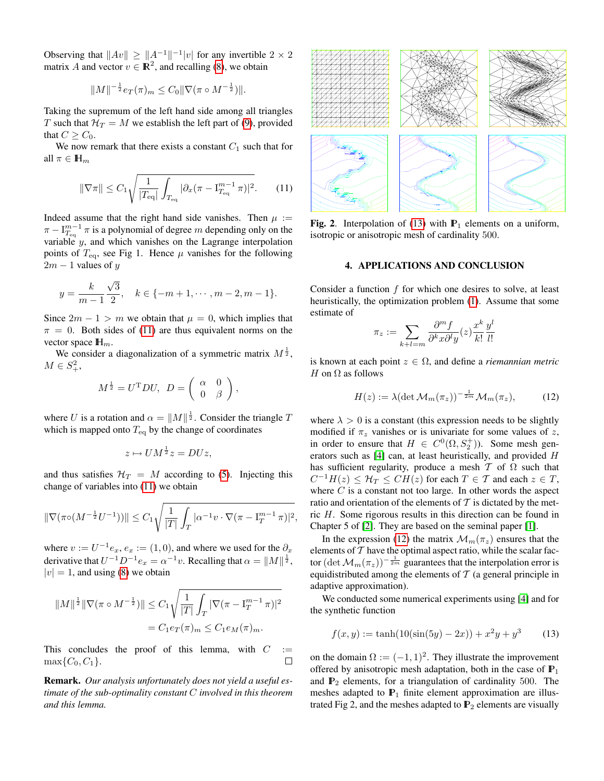Observing that  $||Av|| \ge ||A^{-1}||^{-1}|v|$  for any invertible  $2 \times 2$ matrix A and vector  $v \in \mathbb{R}^2$ , and recalling [\(8\)](#page-1-3), we obtain

$$
||M||^{-\frac{1}{2}}e_T(\pi)_m \leq C_0 ||\nabla (\pi \circ M^{-\frac{1}{2}})||.
$$

Taking the supremum of the left hand side among all triangles T such that  $H_T = M$  we establish the left part of [\(9\)](#page-1-4), provided that  $C \geq C_0$ .

We now remark that there exists a constant  $C_1$  such that for all  $\pi \in \mathbb{H}_m$ 

<span id="page-2-0"></span>
$$
\|\nabla \pi\| \le C_1 \sqrt{\frac{1}{|T_{\text{eq}}|} \int_{T_{\text{eq}}} |\partial_x (\pi - I_{T_{\text{eq}}}^{m-1} \pi)|^2}.
$$
 (11)

Indeed assume that the right hand side vanishes. Then  $\mu$  :=  $\pi - I_{T_{\text{eq}}}^{m-1} \pi$  is a polynomial of degree m depending only on the variable  $y$ , and which vanishes on the Lagrange interpolation points of  $T_{\text{eq}}$ , see Fig 1. Hence  $\mu$  vanishes for the following  $2m - 1$  values of y

$$
y = \frac{k}{m-1} \frac{\sqrt{3}}{2}, \quad k \in \{-m+1, \cdots, m-2, m-1\}.
$$

Since  $2m - 1 > m$  we obtain that  $\mu = 0$ , which implies that  $\pi = 0$ . Both sides of [\(11\)](#page-2-0) are thus equivalent norms on the vector space  $\mathbb{H}_m$ .

We consider a diagonalization of a symmetric matrix  $M^{\frac{1}{2}}$ ,  $M \in S^2_+,$ 

$$
M^{\frac{1}{2}} = U^{\mathrm{T}}DU, \ D = \left( \begin{array}{cc} \alpha & 0 \\ 0 & \beta \end{array} \right),
$$

where U is a rotation and  $\alpha = ||M||^{\frac{1}{2}}$ . Consider the triangle T which is mapped onto  $T_{eq}$  by the change of coordinates

$$
z \mapsto UM^{\frac{1}{2}}z = DUz,
$$

and thus satisfies  $H_T = M$  according to [\(5\)](#page-0-1). Injecting this change of variables into [\(11\)](#page-2-0) we obtain

$$
\|\nabla (\pi \circ (M^{-\frac{1}{2}}U^{-1}))\| \leq C_1 \sqrt{\frac{1}{|T|} \int_T |\alpha^{-1}v \cdot \nabla (\pi - \mathbf{I}_T^{m-1} \pi)|^2},
$$

where  $v := U^{-1}e_x$ ,  $e_x := (1,0)$ , and where we used for the  $\partial_x$ derivative that  $U^{-1}D^{-1}e_x = \alpha^{-1}v$ . Recalling that  $\alpha = ||M||^{\frac{1}{2}}$ ,  $|v| = 1$ , and using [\(8\)](#page-1-3) we obtain

$$
||M||^{\frac{1}{2}} ||\nabla (\pi \circ M^{-\frac{1}{2}})|| \leq C_1 \sqrt{\frac{1}{|T|} \int_T |\nabla (\pi - I_T^{m-1} \pi)|^2}
$$
  
=  $C_1 e_T(\pi)_m \leq C_1 e_M(\pi)_m.$ 

This concludes the proof of this lemma, with  $C :=$  $\max\{C_0, C_1\}.$  $\Box$ 

Remark. *Our analysis unfortunately does not yield a useful estimate of the sub-optimality constant* C *involved in this theorem and this lemma.*



Fig. 2. Interpolation of [\(13\)](#page-2-1) with  $P_1$  elements on a uniform, isotropic or anisotropic mesh of cardinality 500.

#### 4. APPLICATIONS AND CONCLUSION

Consider a function  $f$  for which one desires to solve, at least heuristically, the optimization problem [\(1\)](#page-0-0). Assume that some estimate of

$$
\pi_z := \sum_{k+l=m} \frac{\partial^m f}{\partial^k x \partial^l y}(z) \frac{x^k}{k!} \frac{y^l}{l!}
$$

is known at each point  $z \in \Omega$ , and define a *riemannian metric* H on  $\Omega$  as follows

<span id="page-2-2"></span>
$$
H(z) := \lambda (\det \mathcal{M}_m(\pi_z))^{-\frac{1}{2m}} \mathcal{M}_m(\pi_z), \tag{12}
$$

where  $\lambda > 0$  is a constant (this expression needs to be slightly modified if  $\pi_z$  vanishes or is univariate for some values of z, in order to ensure that  $H \in C^0(\Omega, S_2^+)$ ). Some mesh generators such as [\[4\]](#page-3-2) can, at least heuristically, and provided H has sufficient regularity, produce a mesh  $T$  of  $\Omega$  such that  $C^{-1}H(z) \leq \mathcal{H}_T \leq CH(z)$  for each  $T \in \mathcal{T}$  and each  $z \in T$ , where  $C$  is a constant not too large. In other words the aspect ratio and orientation of the elements of  $T$  is dictated by the metric H. Some rigorous results in this direction can be found in Chapter 5 of [\[2\]](#page-3-0). They are based on the seminal paper [\[1\]](#page-3-1).

In the expression [\(12\)](#page-2-2) the matrix  $\mathcal{M}_m(\pi_z)$  ensures that the elements of  $T$  have the optimal aspect ratio, while the scalar factor  $(\det \mathcal{M}_m(\pi_z))^{-\frac{1}{2m}}$  guarantees that the interpolation error is equidistributed among the elements of  $T$  (a general principle in adaptive approximation).

We conducted some numerical experiments using [\[4\]](#page-3-2) and for the synthetic function

<span id="page-2-1"></span>
$$
f(x, y) := \tanh(10(\sin(5y) - 2x)) + x^2y + y^3 \tag{13}
$$

on the domain  $\Omega := (-1, 1)^2$ . They illustrate the improvement offered by anisotropic mesh adaptation, both in the case of  $\mathbb{P}_1$ and  $\mathbb{P}_2$  elements, for a triangulation of cardinality 500. The meshes adapted to  $P_1$  finite element approximation are illustrated Fig 2, and the meshes adapted to  $P_2$  elements are visually